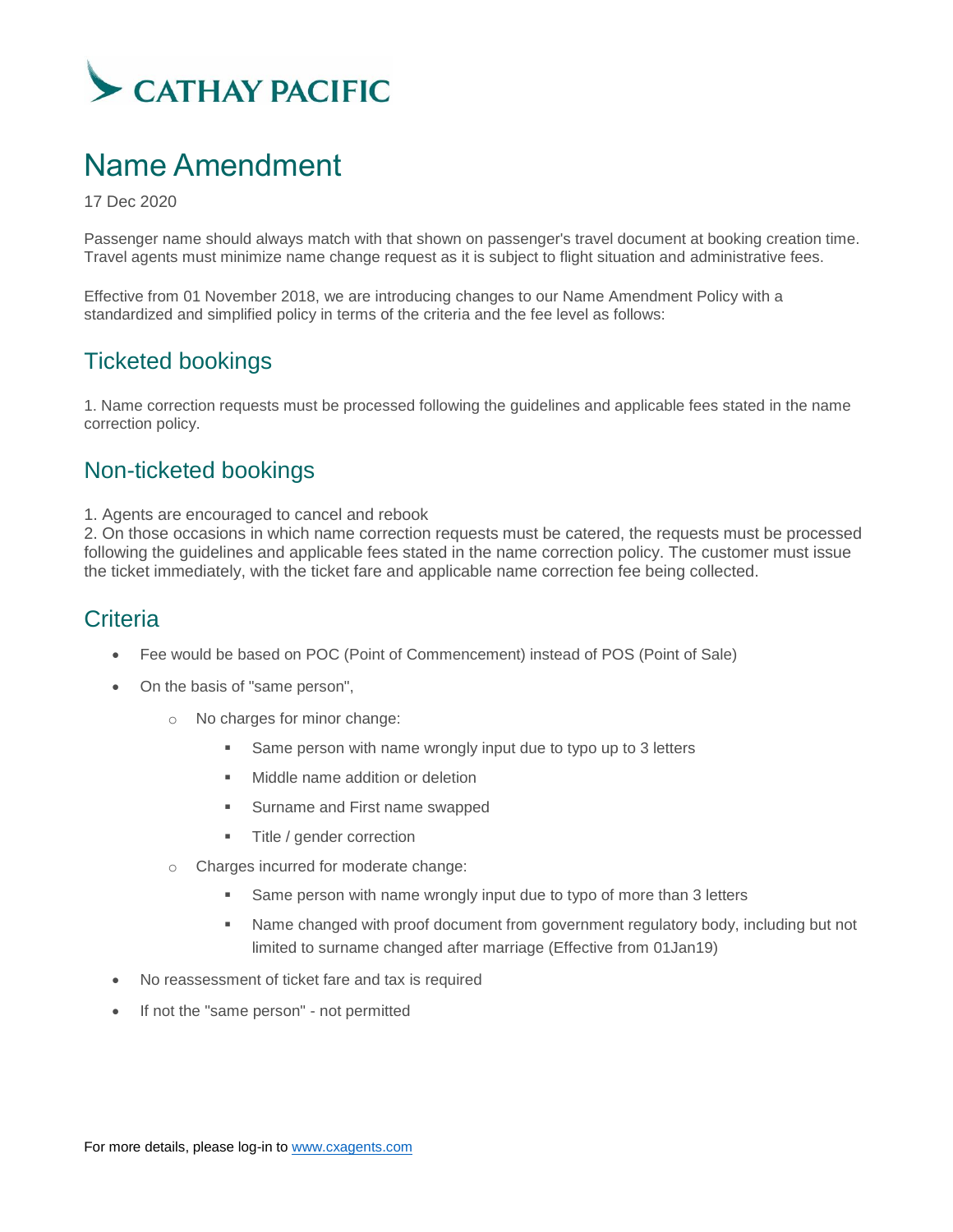

# Name Amendment

17 Dec 2020

Passenger name should always match with that shown on passenger's travel document at booking creation time. Travel agents must minimize name change request as it is subject to flight situation and administrative fees.

Effective from 01 November 2018, we are introducing changes to our Name Amendment Policy with a standardized and simplified policy in terms of the criteria and the fee level as follows:

## Ticketed bookings

1. Name correction requests must be processed following the guidelines and applicable fees stated in the name correction policy.

#### Non-ticketed bookings

1. Agents are encouraged to cancel and rebook

2. On those occasions in which name correction requests must be catered, the requests must be processed following the guidelines and applicable fees stated in the name correction policy. The customer must issue the ticket immediately, with the ticket fare and applicable name correction fee being collected.

### **Criteria**

- Fee would be based on POC (Point of Commencement) instead of POS (Point of Sale)
- On the basis of "same person",
	- o No charges for minor change:
		- Same person with name wrongly input due to typo up to 3 letters
		- Middle name addition or deletion
		- **Surname and First name swapped**
		- **Title / gender correction**
	- o Charges incurred for moderate change:
		- Same person with name wrongly input due to typo of more than 3 letters
		- Name changed with proof document from government regulatory body, including but not limited to surname changed after marriage (Effective from 01Jan19)
- No reassessment of ticket fare and tax is required
- If not the "same person" not permitted